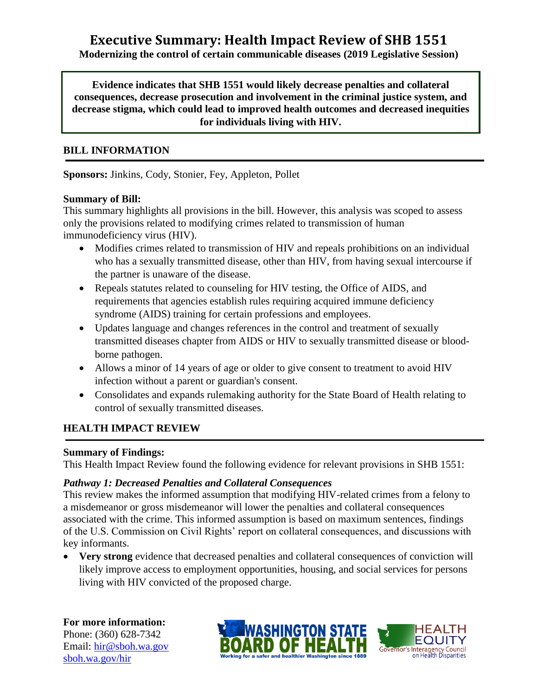# **Executive Summary: Health Impact Review of SHB 1551**

#### **Modernizing the control of certain communicable diseases (2019 Legislative Session)**

**Evidence indicates that SHB 1551 would likely decrease penalties and collateral consequences, decrease prosecution and involvement in the criminal justice system, and decrease stigma, which could lead to improved health outcomes and decreased inequities for individuals living with HIV.**

#### **BILL INFORMATION**

**Sponsors:** Jinkins, Cody, Stonier, Fey, Appleton, Pollet

## **Summary of Bill:**

This summary highlights all provisions in the bill. However, this analysis was scoped to assess only the provisions related to modifying crimes related to transmission of human immunodeficiency virus (HIV).

- Modifies crimes related to transmission of HIV and repeals prohibitions on an individual who has a sexually transmitted disease, other than HIV, from having sexual intercourse if the partner is unaware of the disease.
- Repeals statutes related to counseling for HIV testing, the Office of AIDS, and requirements that agencies establish rules requiring acquired immune deficiency syndrome (AIDS) training for certain professions and employees.
- Updates language and changes references in the control and treatment of sexually transmitted diseases chapter from AIDS or HIV to sexually transmitted disease or bloodborne pathogen.
- Allows a minor of 14 years of age or older to give consent to treatment to avoid HIV infection without a parent or guardian's consent.
- Consolidates and expands rulemaking authority for the State Board of Health relating to control of sexually transmitted diseases.

# **HEALTH IMPACT REVIEW**

#### **Summary of Findings:**

This Health Impact Review found the following evidence for relevant provisions in SHB 1551:

#### *Pathway 1: Decreased Penalties and Collateral Consequences*

This review makes the informed assumption that modifying HIV-related crimes from a felony to a misdemeanor or gross misdemeanor will lower the penalties and collateral consequences associated with the crime. This informed assumption is based on maximum sentences, findings of the U.S. Commission on Civil Rights' report on collateral consequences, and discussions with key informants.

 **Very strong** evidence that decreased penalties and collateral consequences of conviction will likely improve access to employment opportunities, housing, and social services for persons living with HIV convicted of the proposed charge.

**For more information:** Phone: (360) 628-7342 Email: [hir@sboh.wa.gov](mailto:hir@sboh.wa.gov) [sboh.wa.gov/](http://sboh.wa.gov/)hir